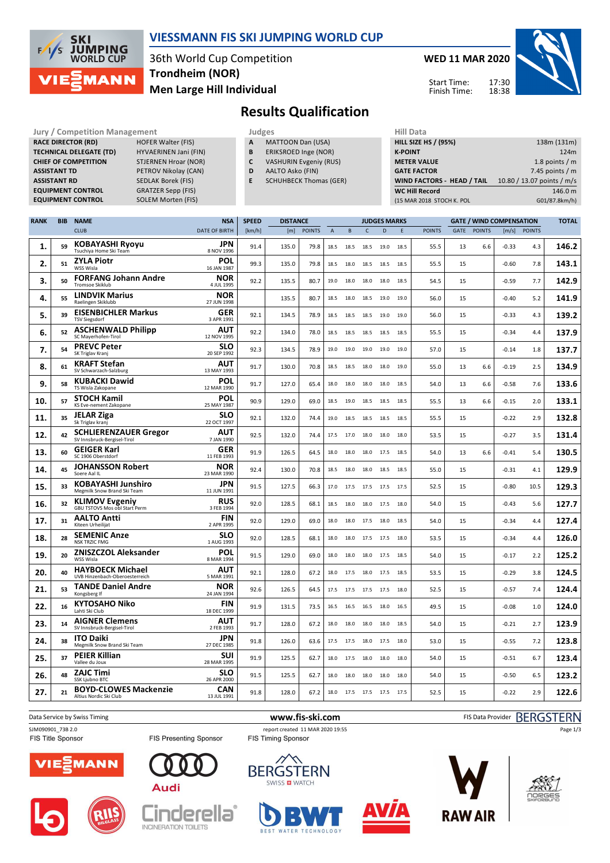

### **VIESSMANN FIS SKI JUMPING WORLD CUP**

36th World Cup Competition **Men Large Hill Individual Trondheim (NOR)**

**WED 11 MAR 2020** 17:30 Start Time:

Finish Time:

18:38



**Results Qualification**

| <b>Jury / Competition Management</b> |                             |   | Judges                        | <b>Hill Data</b>   |
|--------------------------------------|-----------------------------|---|-------------------------------|--------------------|
| <b>RACE DIRECTOR (RD)</b>            | <b>HOFER Walter (FIS)</b>   | A | <b>MATTOON Dan (USA)</b>      | <b>HILL SIZE H</b> |
| <b>TECHNICAL DELEGATE (TD)</b>       | HYVAERINEN Jani (FIN)       | B | ERIKSROED Inge (NOR)          | <b>K-POINT</b>     |
| <b>CHIEF OF COMPETITION</b>          | <b>STJERNEN Hroar (NOR)</b> | C | <b>VASHURIN Evgeniy (RUS)</b> | <b>METER VA</b>    |
| <b>ASSISTANT TD</b>                  | PETROV Nikolay (CAN)        | D | AALTO Asko (FIN)              | <b>GATE FACT</b>   |
| <b>ASSISTANT RD</b>                  | <b>SEDLAK Borek (FIS)</b>   | E | <b>SCHUHBECK Thomas (GER)</b> | <b>WIND FAC</b>    |
| <b>EQUIPMENT CONTROL</b>             | <b>GRATZER Sepp (FIS)</b>   |   |                               | <b>WC Hill Re</b>  |
| <b>EQUIPMENT CONTROL</b>             | SOLEM Morten (FIS)          |   |                               | (15 MAR 201        |

- **A** MATTOON Dan (USA)
- **B** ERIKSROED Inge (NOR)
- **C** VASHURIN Evgeniy (RUS)
- **D** AALTO Asko (FIN)
- **E** SCHUHBECK Thomas (GER)

| 11111 <i>Data</i>           |                            |
|-----------------------------|----------------------------|
| <b>HILL SIZE HS / (95%)</b> | 138m (131m)                |
| <b>K-POINT</b>              | 124m                       |
| <b>METER VALUE</b>          | 1.8 points $/m$            |
| <b>GATE FACTOR</b>          | 7.45 points $/m$           |
| WIND FACTORS - HEAD / TAIL  | 10.80 / 13.07 points / m/s |
| <b>WC Hill Record</b>       | 146.0 m                    |
| (15 MAR 2018 STOCH K. POL   | G01/87.8km/h)              |
|                             |                            |

| <b>RANK</b> | <b>BIB</b> | <b>NAME</b>                                                 | <b>NSA</b>                | <b>SPEED</b> | <b>DISTANCE</b> |               |                |           |              | <b>JUDGES MARKS</b> |      |               |      |               | <b>GATE / WIND COMPENSATION</b> |               | <b>TOTAL</b> |
|-------------|------------|-------------------------------------------------------------|---------------------------|--------------|-----------------|---------------|----------------|-----------|--------------|---------------------|------|---------------|------|---------------|---------------------------------|---------------|--------------|
|             |            | <b>CLUB</b>                                                 | <b>DATE OF BIRTH</b>      | [km/h]       | [m]             | <b>POINTS</b> | $\overline{A}$ | B         | $\mathsf{C}$ | D                   | E    | <b>POINTS</b> | GATE | <b>POINTS</b> | [m/s]                           | <b>POINTS</b> |              |
| 1.          | 59         | <b>KOBAYASHI Ryoyu</b><br>Tsuchiya Home Ski Team            | <b>JPN</b><br>8 NOV 1996  | 91.4         | 135.0           | 79.8          | 18.5           | 18.5      | 18.5         | 19.0                | 18.5 | 55.5          | 13   | 6.6           | $-0.33$                         | 4.3           | 146.2        |
| 2.          | 51         | <b>ZYLA Piotr</b><br>WSS Wisla                              | POL<br>16 JAN 1987        | 99.3         | 135.0           | 79.8          | 18.5           | 18.0      | 18.5         | 18.5                | 18.5 | 55.5          | 15   |               | $-0.60$                         | 7.8           | 143.1        |
| З.          | 50         | <b>FORFANG Johann Andre</b><br><b>Tromsoe Skiklub</b>       | NOR<br>4 JUL 1995         | 92.2         | 135.5           | 80.7          | 19.0           | 18.0      | 18.0         | 18.0                | 18.5 | 54.5          | 15   |               | $-0.59$                         | 7.7           | 142.9        |
| 4.          | 55         | <b>LINDVIK Marius</b><br>Raelingen Skiklubb                 | <b>NOR</b><br>27 JUN 1998 |              | 135.5           | 80.7          | 18.5           | 18.0      | 18.5         | 19.0                | 19.0 | 56.0          | 15   |               | $-0.40$                         | 5.2           | 141.9        |
| 5.          | 39         | <b>EISENBICHLER Markus</b><br><b>TSV Siegsdorf</b>          | <b>GER</b><br>3 APR 1991  | 92.1         | 134.5           | 78.9          | 18.5           | 18.5      | 18.5         | 19.0                | 19.0 | 56.0          | 15   |               | $-0.33$                         | 4.3           | 139.2        |
| 6.          | 52         | <b>ASCHENWALD Philipp</b><br>SC Mayerhofen-Tirol            | AUT<br>12 NOV 1995        | 92.2         | 134.0           | 78.0          | 18.5           | 18.5      | 18.5         | 18.5                | 18.5 | 55.5          | 15   |               | $-0.34$                         | 4.4           | 137.9        |
| 7.          | 54         | <b>PREVC Peter</b><br>SK Triglav Kranj                      | <b>SLO</b><br>20 SEP 1992 | 92.3         | 134.5           | 78.9          | 19.0           | 19.0      | 19.0         | 19.0                | 19.0 | 57.0          | 15   |               | $-0.14$                         | 1.8           | 137.7        |
| 8.          | 61         | <b>KRAFT Stefan</b><br>SV Schwarzach-Salzburg               | AUT<br>13 MAY 1993        | 91.7         | 130.0           | 70.8          | 18.5           | 18.5      | 18.0         | 18.0                | 19.0 | 55.0          | 13   | 6.6           | $-0.19$                         | 2.5           | 134.9        |
| 9.          | 58         | <b>KUBACKI Dawid</b><br>TS Wisla Zakopane                   | POL<br>12 MAR 1990        | 91.7         | 127.0           | 65.4          | 18.0           | 18.0      | 18.0         | 18.0                | 18.5 | 54.0          | 13   | 6.6           | $-0.58$                         | 7.6           | 133.6        |
| 10.         | 57         | <b>STOCH Kamil</b><br>KS Eve-nement Zakopane                | POL<br>25 MAY 1987        | 90.9         | 129.0           | 69.0          | 18.5           | 19.0      | 18.5         | 18.5                | 18.5 | 55.5          | 13   | 6.6           | $-0.15$                         | 2.0           | 133.1        |
| 11.         | 35         | <b>JELAR Ziga</b><br>Sk Triglav kranj                       | <b>SLO</b><br>22 OCT 1997 | 92.1         | 132.0           | 74.4          | 19.0           | 18.5      | 18.5         | 18.5                | 18.5 | 55.5          | 15   |               | $-0.22$                         | 2.9           | 132.8        |
| 12.         | 42         | <b>SCHLIERENZAUER Gregor</b><br>SV Innsbruck-Bergisel-Tirol | AUT<br>7 JAN 1990         | 92.5         | 132.0           | 74.4          | 17.5           | 17.0      | 18.0         | 18.0                | 18.0 | 53.5          | 15   |               | $-0.27$                         | 3.5           | 131.4        |
| 13.         | 60         | <b>GEIGER Karl</b><br>SC 1906 Oberstdorf                    | <b>GER</b><br>11 FEB 1993 | 91.9         | 126.5           | 64.5          | 18.0           | 18.0      | 18.0         | 17.5                | 18.5 | 54.0          | 13   | 6.6           | $-0.41$                         | 5.4           | 130.5        |
| 14.         | 45         | <b>JOHANSSON Robert</b><br>Soere Aal IL                     | NOR<br>23 MAR 1990        | 92.4         | 130.0           | 70.8          | 18.5           | 18.0      | 18.0         | 18.5                | 18.5 | 55.0          | 15   |               | $-0.31$                         | 4.1           | 129.9        |
| 15.         | 33         | <b>KOBAYASHI Junshiro</b><br>Megmilk Snow Brand Ski Team    | JPN<br>11 JUN 1991        | 91.5         | 127.5           | 66.3          | 17.0           | 17.5      | 17.5         | 17.5                | 17.5 | 52.5          | 15   |               | $-0.80$                         | 10.5          | 129.3        |
| 16.         | 32         | <b>KLIMOV Evgeniy</b><br>GBU TSTOVS Mos obl Start Perm      | <b>RUS</b><br>3 FEB 1994  | 92.0         | 128.5           | 68.1          | 18.5           | 18.0      | 18.0         | 17.5                | 18.0 | 54.0          | 15   |               | $-0.43$                         | 5.6           | 127.7        |
| 17.         | 31         | <b>AALTO Antti</b><br>Kiteen Urheilijat                     | FIN<br>2 APR 1995         | 92.0         | 129.0           | 69.0          | 18.0           | 18.0      | 17.5         | 18.0                | 18.5 | 54.0          | 15   |               | $-0.34$                         | 4.4           | 127.4        |
| 18.         | 28         | <b>SEMENIC Anze</b><br><b>NSK TRZIC FMG</b>                 | <b>SLO</b><br>1 AUG 1993  | 92.0         | 128.5           | 68.1          | 18.0           | 18.0      | 17.5         | 17.5                | 18.0 | 53.5          | 15   |               | $-0.34$                         | 4.4           | 126.0        |
| 19.         | 20         | <b>ZNISZCZOL Aleksander</b><br>WSS Wisla                    | POL<br>8 MAR 1994         | 91.5         | 129.0           | 69.0          | 18.0           | 18.0      | 18.0         | 17.5                | 18.5 | 54.0          | 15   |               | $-0.17$                         | 2.2           | 125.2        |
| 20.         | 40         | <b>HAYBOECK Michael</b><br>UVB Hinzenbach-Oberoesterreich   | <b>AUT</b><br>5 MAR 1991  | 92.1         | 128.0           | 67.2          | 18.0           | 17.5      | 18.0         | 17.5                | 18.5 | 53.5          | 15   |               | $-0.29$                         | 3.8           | 124.5        |
| 21.         | 53         | <b>TANDE Daniel Andre</b><br>Kongsberg If                   | <b>NOR</b><br>24 JAN 1994 | 92.6         | 126.5           | 64.5          | 17.5           | 17.5      | 17.5         | 17.5                | 18.0 | 52.5          | 15   |               | $-0.57$                         | 7.4           | 124.4        |
| 22.         | 16         | <b>KYTOSAHO Niko</b><br>Lahti Ski Club                      | FIN<br>18 DEC 1999        | 91.9         | 131.5           | 73.5          | 16.5           | 16.5      | 16.5         | 18.0                | 16.5 | 49.5          | 15   |               | $-0.08$                         | 1.0           | 124.0        |
| 23.         | 14         | <b>AIGNER Clemens</b><br>SV Innsbruck-Bergisel-Tirol        | <b>AUT</b><br>2 FEB 1993  | 91.7         | 128.0           | 67.2          | 18.0           | 18.0      | 18.0         | 18.0                | 18.5 | 54.0          | 15   |               | $-0.21$                         | 2.7           | 123.9        |
| 24.         | 38         | <b>ITO Daiki</b><br>Megmilk Snow Brand Ski Team             | <b>JPN</b><br>27 DEC 1985 | 91.8         | 126.0           | 63.6          | 17.5           | 17.5      | 18.0         | 17.5                | 18.0 | 53.0          | 15   |               | $-0.55$                         | 7.2           | 123.8        |
| 25.         | 37         | <b>PEIER Killian</b><br>Vallee du Joux                      | SUI<br>28 MAR 1995        | 91.9         | 125.5           | 62.7          | 18.0           | 17.5      | 18.0         | 18.0                | 18.0 | 54.0          | 15   |               | $-0.51$                         | 6.7           | 123.4        |
| 26.         | 48         | <b>ZAJC Timi</b><br>SSK Ljubno BTC                          | <b>SLO</b><br>26 APR 2000 | 91.5         | 125.5           | 62.7          | 18.0           | 18.0      | 18.0         | 18.0                | 18.0 | 54.0          | 15   |               | $-0.50$                         | 6.5           | 123.2        |
| 27.         | 21         | <b>BOYD-CLOWES Mackenzie</b><br>Altius Nordic Ski Club      | <b>CAN</b><br>13 JUL 1991 | 91.8         | 128.0           | 67.2          | 18.0           | 17.5 17.5 |              | 17.5                | 17.5 | 52.5          | 15   |               | $-0.22$                         | 2.9           | 122.6        |

Data Service by Swiss Timing **WWW.fis-ski.com www.fis-ski.com** FIS Data Provider BERGSTERN

FIS Title Sponsor

FIS Presenting Sponsor

SJM090901\_73B 2.0 report created 11 MAR 2020 19:55<br>FIS Title Sponsor **FIS Title Sponsor** FIS Timing Sponsor **FIS Timing** Sponsor







la





**RAWAIR** 



Page 1/3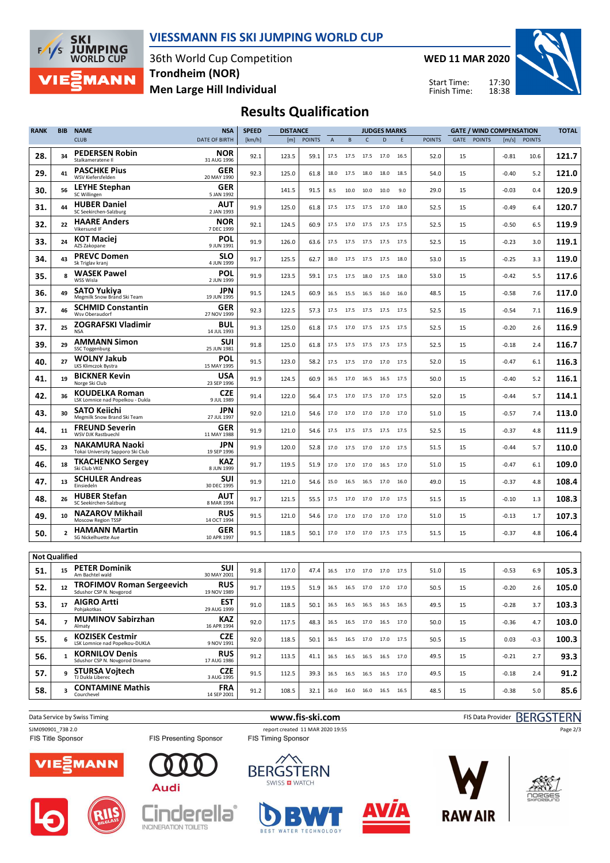

#### **VIESSMANN FIS SKI JUMPING WORLD CUP**

36th World Cup Competition **Men Large Hill Individual Trondheim (NOR)**

**WED 11 MAR 2020**

Start Time: Finish Time:



## **Results Qualification**

| <b>RANK</b>          | <b>BIB</b>     | <b>NAME</b>                                                 | <b>NSA</b>                | <b>SPEED</b> | <b>DISTANCE</b> |               |                               |                          |                | <b>JUDGES MARKS</b> |      |               |      |               | <b>GATE / WIND COMPENSATION</b> |               | <b>TOTAL</b> |
|----------------------|----------------|-------------------------------------------------------------|---------------------------|--------------|-----------------|---------------|-------------------------------|--------------------------|----------------|---------------------|------|---------------|------|---------------|---------------------------------|---------------|--------------|
|                      |                | <b>CLUB</b>                                                 | <b>DATE OF BIRTH</b>      | [km/h]       | [m]             | <b>POINTS</b> | $\overline{A}$                | B                        | $\mathsf{C}$   | D                   | E    | <b>POINTS</b> | GATE | <b>POINTS</b> | [m/s]                           | <b>POINTS</b> |              |
| 28.                  | 34             | <b>PEDERSEN Robin</b><br>Stalkameratene II                  | NOR<br>31 AUG 1996        | 92.1         | 123.5           | 59.1          | 17.5                          | 17.5 17.5                |                | 17.0                | 16.5 | 52.0          | 15   |               | $-0.81$                         | 10.6          | 121.7        |
| 29.                  | 41             | <b>PASCHKE Pius</b><br>WSV Kiefersfelden                    | GER<br>20 MAY 1990        | 92.3         | 125.0           | 61.8          | 18.0                          | 17.5                     | 18.0           | 18.0                | 18.5 | 54.0          | 15   |               | $-0.40$                         | 5.2           | 121.0        |
| 30.                  | 56             | <b>LEYHE Stephan</b><br>SC Willingen                        | GER<br>5 JAN 1992         |              | 141.5           | 91.5          | 8.5                           | 10.0                     | 10.0           | 10.0                | 9.0  | 29.0          | 15   |               | $-0.03$                         | 0.4           | 120.9        |
| 31.                  | 44             | <b>HUBER Daniel</b><br>SC Seekirchen-Salzburg               | <b>AUT</b><br>2 JAN 1993  | 91.9         | 125.0           | 61.8          | 17.5                          |                          | 17.5 17.5 17.0 |                     | 18.0 | 52.5          | 15   |               | $-0.49$                         | 6.4           | 120.7        |
| 32.                  | 22             | <b>HAARE Anders</b><br>Vikersund IF                         | <b>NOR</b><br>7 DEC 1999  | 92.1         | 124.5           | 60.9          | 17.5                          | 17.0                     | 17.5           | 17.5                | 17.5 | 52.5          | 15   |               | $-0.50$                         | 6.5           | 119.9        |
| 33.                  | 24             | KOT Maciej<br>AZS Zakopane                                  | POL<br>9 JUN 1991         | 91.9         | 126.0           | 63.6          | 17.5                          |                          | 17.5 17.5      | 17.5                | 17.5 | 52.5          | 15   |               | $-0.23$                         | 3.0           | 119.1        |
| 34.                  | 43             | <b>PREVC Domen</b><br>Sk Triglav kranj                      | <b>SLO</b><br>4 JUN 1999  | 91.7         | 125.5           | 62.7          | 18.0                          | 17.5                     | 17.5           | 17.5                | 18.0 | 53.0          | 15   |               | $-0.25$                         | 3.3           | 119.0        |
| 35.                  | 8              | <b>WASEK Pawel</b><br>WSS Wisla                             | POL<br>2 JUN 1999         | 91.9         | 123.5           | 59.1          | 17.5                          |                          | 17.5 18.0      | 17.5                | 18.0 | 53.0          | 15   |               | $-0.42$                         | 5.5           | 117.6        |
| 36.                  | 49             | <b>SATO Yukiya</b><br>Megmilk Snow Brand Ski Team           | <b>JPN</b><br>19 JUN 1995 | 91.5         | 124.5           | 60.9          | 16.5                          | 15.5 16.5 16.0           |                |                     | 16.0 | 48.5          | 15   |               | $-0.58$                         | 7.6           | 117.0        |
| 37.                  | 46             | <b>SCHMID Constantin</b><br>Wsv Oberaudorf                  | GER<br>27 NOV 1999        | 92.3         | 122.5           | 57.3          | 17.5                          | 17.5                     | 17.5           | 17.5                | 17.5 | 52.5          | 15   |               | $-0.54$                         | 7.1           | 116.9        |
| 37.                  | 25             | <b>ZOGRAFSKI Vladimir</b><br><b>NSA</b>                     | BUL<br>14 JUL 1993        | 91.3         | 125.0           | 61.8          | 17.5                          |                          | 17.0 17.5      | 17.5                | 17.5 | 52.5          | 15   |               | $-0.20$                         | 2.6           | 116.9        |
| 39.                  | 29             | <b>AMMANN Simon</b><br>SSC Toggenburg                       | SUI<br>25 JUN 1981        | 91.8         | 125.0           | 61.8          | 17.5                          | 17.5                     | 17.5           | 17.5                | 17.5 | 52.5          | 15   |               | $-0.18$                         | 2.4           | 116.7        |
| 40.                  | 27             | <b>WOLNY Jakub</b><br>LKS Klimczok Bystra                   | POL<br>15 MAY 1995        | 91.5         | 123.0           | 58.2          | 17.5                          | 17.5 17.0 17.0           |                |                     | 17.5 | 52.0          | 15   |               | $-0.47$                         | 6.1           | 116.3        |
| 41.                  | 19             | <b>BICKNER Kevin</b><br>Norge Ski Club                      | <b>USA</b><br>23 SEP 1996 | 91.9         | 124.5           | 60.9          | 16.5                          | 17.0 16.5 16.5           |                |                     | 17.5 | 50.0          | 15   |               | $-0.40$                         | 5.2           | 116.1        |
| 42.                  | 36             | <b>KOUDELKA Roman</b><br>LSK Lomnice nad Popelkou - Dukla   | CZE<br>9 JUL 1989         | 91.4         | 122.0           | 56.4          | 17.5                          | 17.0                     | 17.5           | 17.0                | 17.5 | 52.0          | 15   |               | $-0.44$                         | 5.7           | 114.1        |
| 43.                  | 30             | <b>SATO Kejichi</b><br>Megmilk Snow Brand Ski Team          | JPN<br>27 JUL 1997        | 92.0         | 121.0           | 54.6          | 17.0                          | 17.0                     | 17.0           | 17.0                | 17.0 | 51.0          | 15   |               | $-0.57$                         | 7.4           | 113.0        |
| 44.                  | 11             | <b>FREUND Severin</b><br>WSV DJK Rastbuechl                 | GER<br>11 MAY 1988        | 91.9         | 121.0           | 54.6          | 17.5                          | 17.5                     | 17.5           | 17.5                | 17.5 | 52.5          | 15   |               | $-0.37$                         | 4.8           | 111.9        |
| 45.                  | 23             | <b>NAKAMURA Naoki</b><br>Tokai University Sapporo Ski Club  | JPN<br>19 SEP 1996        | 91.9         | 120.0           | 52.8          | 17.0                          | 17.5 17.0 17.0           |                |                     | 17.5 | 51.5          | 15   |               | $-0.44$                         | 5.7           | 110.0        |
| 46.                  | 18             | <b>TKACHENKO Sergey</b><br>Ski Club VKO                     | KAZ<br>8 JUN 1999         | 91.7         | 119.5           | 51.9          | 17.0                          |                          | 17.0 17.0      | 16.5                | 17.0 | 51.0          | 15   |               | $-0.47$                         | 6.1           | 109.0        |
| 47.                  | 13             | <b>SCHULER Andreas</b><br>Einsiedeln                        | SUI<br>30 DEC 1995        | 91.9         | 121.0           | 54.6          | 15.0                          | 16.5                     | - 16.5         | 17.0                | 16.0 | 49.0          | 15   |               | $-0.37$                         | 4.8           | 108.4        |
| 48.                  | 26             | <b>HUBER Stefan</b><br>SC Seekirchen-Salzburg               | AUT<br>8 MAR 1994         | 91.7         | 121.5           | 55.5          | 17.5                          |                          | 17.0 17.0      | 17.0                | 17.5 | 51.5          | 15   |               | $-0.10$                         | 1.3           | 108.3        |
| 49.                  | 10             | <b>NAZAROV Mikhail</b><br>Moscow Region TSSP                | <b>RUS</b><br>14 OCT 1994 | 91.5         | 121.0           | 54.6          | 17.0                          | 17.0                     | 17.0           | 17.0                | 17.0 | 51.0          | 15   |               | $-0.13$                         | 1.7           | 107.3        |
| 50.                  | $\overline{2}$ | <b>HAMANN Martin</b><br>SG Nickelhuette Aue                 | GER<br>10 APR 1997        | 91.5         | 118.5           | 50.1          |                               | 17.0 17.0 17.0 17.5      |                |                     | 17.5 | 51.5          | 15   |               | $-0.37$                         | 4.8           | 106.4        |
| <b>Not Qualified</b> |                |                                                             |                           |              |                 |               |                               |                          |                |                     |      |               |      |               |                                 |               |              |
| 51.                  | 15             | <b>PETER Dominik</b><br>Am Bachtel wald                     | SUI<br>30 MAY 2001        | 91.8         | 117.0           | 47.4          |                               | 16.5 17.0 17.0 17.0      |                |                     | 17.5 | 51.0          | 15   |               | $-0.53$                         | 6.9           | 105.3        |
| 52.                  | 12             | <b>TROFIMOV Roman Sergeevich</b><br>Sdushor CSP N. Novgorod | <b>RUS</b><br>19 NOV 1989 | 91.7         | 119.5           |               | 51.9 16.5 16.5 17.0 17.0 17.0 |                          |                |                     |      | 50.5          | 15   |               | $-0.20$                         | 2.6           | 105.0        |
| 53.                  | 17             | <b>AIGRO Artti</b><br>Pohjakotkas                           | <b>EST</b><br>29 AUG 1999 | 91.0         | 118.5           | 50.1          |                               | 16.5 16.5 16.5 16.5 16.5 |                |                     |      | 49.5          | 15   |               | $-0.28$                         | 3.7           | 103.3        |
| 54.                  | $\overline{z}$ | <b>MUMINOV Sabirzhan</b><br>Almaty                          | KAZ<br>16 APR 1994        | 92.0         | 117.5           | 48.3          |                               | 16.5 16.5 17.0 16.5 17.0 |                |                     |      | 50.0          | 15   |               | $-0.36$                         | 4.7           | 103.0        |
| 55.                  | 6              | <b>KOZISEK Cestmir</b><br>LSK Lomnice nad Popelkou-DUKLA    | <b>CZE</b><br>9 NOV 1991  | 92.0         | 118.5           | 50.1          |                               | 16.5 16.5 17.0 17.0 17.5 |                |                     |      | 50.5          | 15   |               | 0.03                            | $-0.3$        | 100.3        |
| 56.                  | $\mathbf{1}$   | <b>KORNILOV Denis</b><br>Sdushor CSP N. Novgorod Dinamo     | <b>RUS</b><br>17 AUG 1986 | 91.2         | 113.5           | 41.1          |                               | 16.5 16.5 16.5 16.5 17.0 |                |                     |      | 49.5          | 15   |               | $-0.21$                         | 2.7           | 93.3         |
| 57.                  | 9              | <b>STURSA Vojtech</b><br>TJ Dukla Liberec                   | <b>CZE</b><br>3 AUG 1995  | 91.5         | 112.5           | 39.3          |                               | 16.5 16.5 16.5 16.5 17.0 |                |                     |      | 49.5          | 15   |               | $-0.18$                         | 2.4           | 91.2         |
| 58.                  | 3              | <b>CONTAMINE Mathis</b><br>Courchevel                       | <b>FRA</b><br>14 SEP 2001 | 91.2         | 108.5           | 32.1          |                               | 16.0 16.0 16.0 16.5 16.5 |                |                     |      | 48.5          | 15   |               | $-0.38$                         | 5.0           | 85.6         |
|                      |                |                                                             |                           |              |                 |               |                               |                          |                |                     |      |               |      |               |                                 |               |              |

















Page 2/3